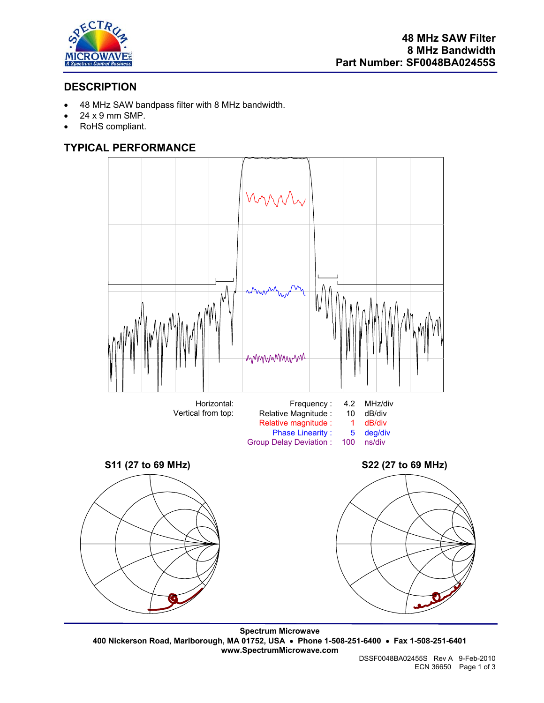

# **DESCRIPTION**

- 48 MHz SAW bandpass filter with 8 MHz bandwidth.
- 24 x 9 mm SMP.
- RoHS compliant.

# **TYPICAL PERFORMANCE**



**Spectrum Microwave 400 Nickerson Road, Marlborough, MA 01752, USA** • **Phone 1-508-251-6400** • **Fax 1-508-251-6401 www.SpectrumMicrowave.com**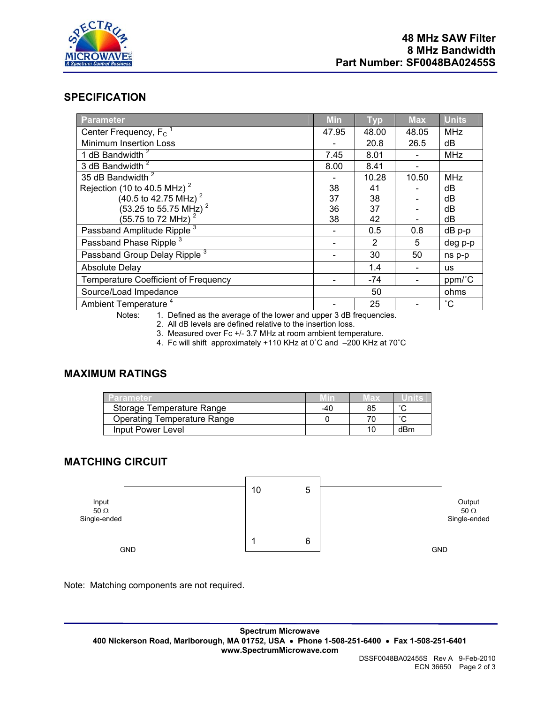

## **SPECIFICATION**

| Parameter                                   | <b>Min</b> | <b>Typ</b>    | <b>Max</b> | <b>Units</b> |
|---------------------------------------------|------------|---------------|------------|--------------|
| Center Frequency, F <sub>c</sub>            | 47.95      | 48.00         | 48.05      | MHz          |
| Minimum Insertion Loss                      |            | 20.8          | 26.5       | dB           |
| 1 dB Bandwidth <sup>2</sup>                 | 7.45       | 8.01          |            | <b>MHz</b>   |
| 3 dB Bandwidth <sup>2</sup>                 | 8.00       | 8.41          |            |              |
| 35 dB Bandwidth <sup>2</sup>                |            | 10.28         | 10.50      | MHz          |
| Rejection (10 to 40.5 MHz) <sup>2</sup>     | 38         | 41            |            | dB           |
| $(40.5 \text{ to } 42.75 \text{ MHz})^2$    | 37         | 38            |            | dB           |
| $(53.25 \text{ to } 55.75 \text{ MHz})^2$   | 36         | 37            |            | dB           |
| $(55.75 \text{ to } 72 \text{ MHz})^2$      | 38         | 42            |            | dB           |
| Passband Amplitude Ripple <sup>3</sup>      |            | 0.5           | 0.8        | dB p-p       |
| Passband Phase Ripple <sup>3</sup>          |            | $\mathcal{P}$ | 5          | deg p-p      |
| Passband Group Delay Ripple <sup>3</sup>    |            | 30            | 50         | ns p-p       |
| <b>Absolute Delay</b>                       |            | 1.4           |            | us           |
| <b>Temperature Coefficient of Frequency</b> |            | -74           |            | ppm/°C       |
| Source/Load Impedance                       |            | 50            |            | ohms         |
| Ambient Temperature <sup>4</sup>            |            | 25            |            | $^{\circ}$ C |

Notes: 1. Defined as the average of the lower and upper 3 dB frequencies.

2. All dB levels are defined relative to the insertion loss.

3. Measured over Fc +/- 3.7 MHz at room ambient temperature.

4. Fc will shift approximately +110 KHz at 0˚C and –200 KHz at 70˚C

### **MAXIMUM RATINGS**

| <b>/Parameter</b>                  |     | 18 X |     |
|------------------------------------|-----|------|-----|
| Storage Temperature Range          | -40 | 85   |     |
| <b>Operating Temperature Range</b> |     |      |     |
| Input Power Level                  |     |      | dBm |

# **MATCHING CIRCUIT**



Note: Matching components are not required.